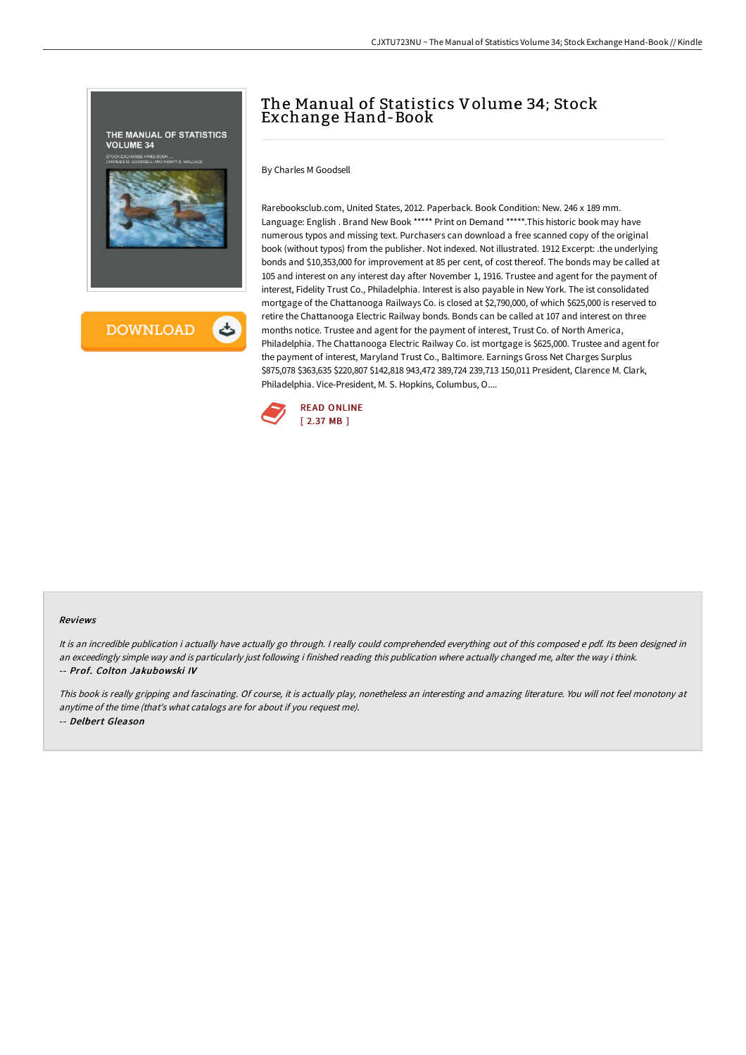

# The Manual of Statistics Volume 34; Stock Exchange Hand-Book

By Charles M Goodsell

Rarebooksclub.com, United States, 2012. Paperback. Book Condition: New. 246 x 189 mm. Language: English . Brand New Book \*\*\*\*\* Print on Demand \*\*\*\*\*.This historic book may have numerous typos and missing text. Purchasers can download a free scanned copy of the original book (without typos) from the publisher. Not indexed. Not illustrated. 1912 Excerpt: .the underlying bonds and \$10,353,000 for improvement at 85 per cent, of cost thereof. The bonds may be called at 105 and interest on any interest day after November 1, 1916. Trustee and agent for the payment of interest, Fidelity Trust Co., Philadelphia. Interest is also payable in New York. The ist consolidated mortgage of the Chattanooga Railways Co. is closed at \$2,790,000, of which \$625,000 is reserved to retire the Chattanooga Electric Railway bonds. Bonds can be called at 107 and interest on three months notice. Trustee and agent for the payment of interest, Trust Co. of North America, Philadelphia. The Chattanooga Electric Railway Co. ist mortgage is \$625,000. Trustee and agent for the payment of interest, Maryland Trust Co., Baltimore. Earnings Gross Net Charges Surplus \$875,078 \$363,635 \$220,807 \$142,818 943,472 389,724 239,713 150,011 President, Clarence M. Clark, Philadelphia. Vice-President, M. S. Hopkins, Columbus, O....



#### Reviews

It is an incredible publication i actually have actually go through. I really could comprehended everything out of this composed e pdf. Its been designed in an exceedingly simple way and is particularly just following i finished reading this publication where actually changed me, alter the way i think. -- Prof. Colton Jakubowski IV

This book is really gripping and fascinating. Of course, it is actually play, nonetheless an interesting and amazing literature. You will not feel monotony at anytime of the time (that's what catalogs are for about if you request me). -- Delbert Gleason